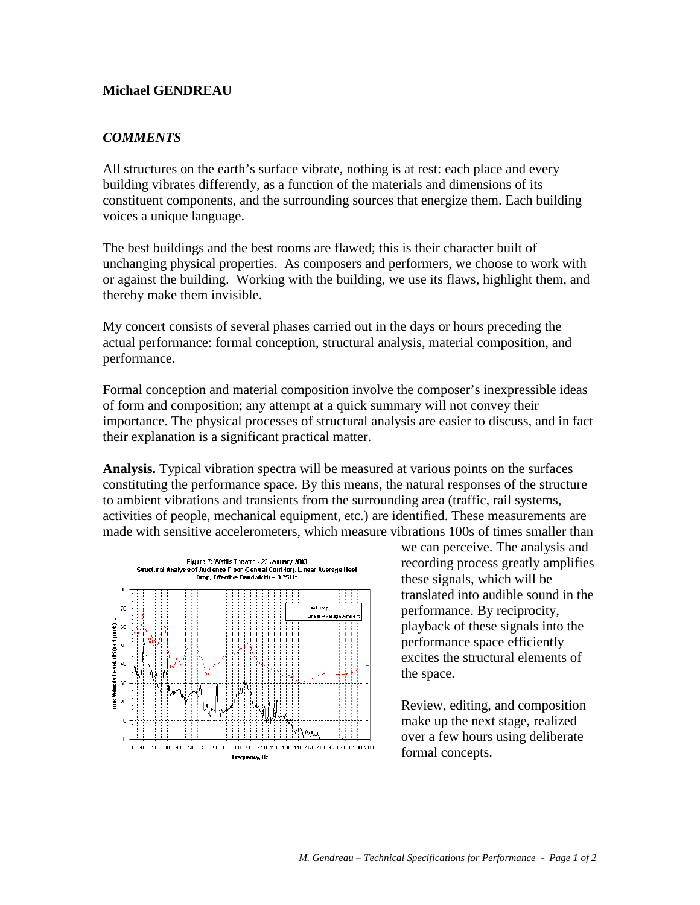## **Michael GENDREAU**

## *COMMENTS*

All structures on the earth's surface vibrate, nothing is at rest: each place and every building vibrates differently, as a function of the materials and dimensions of its constituent components, and the surrounding sources that energize them. Each building voices a unique language.

The best buildings and the best rooms are flawed; this is their character built of unchanging physical properties. As composers and performers, we choose to work with or against the building. Working with the building, we use its flaws, highlight them, and thereby make them invisible.

My concert consists of several phases carried out in the days or hours preceding the actual performance: formal conception, structural analysis, material composition, and performance.

Formal conception and material composition involve the composer's inexpressible ideas of form and composition; any attempt at a quick summary will not convey their importance. The physical processes of structural analysis are easier to discuss, and in fact their explanation is a significant practical matter.

**Analysis.** Typical vibration spectra will be measured at various points on the surfaces constituting the performance space. By this means, the natural responses of the structure to ambient vibrations and transients from the surrounding area (traffic, rail systems, activities of people, mechanical equipment, etc.) are identified. These measurements are made with sensitive accelerometers, which measure vibrations 100s of times smaller than



we can perceive. The analysis and recording process greatly amplifies these signals, which will be translated into audible sound in the performance. By reciprocity, playback of these signals into the performance space efficiently excites the structural elements of the space.

Review, editing, and composition make up the next stage, realized over a few hours using deliberate formal concepts.